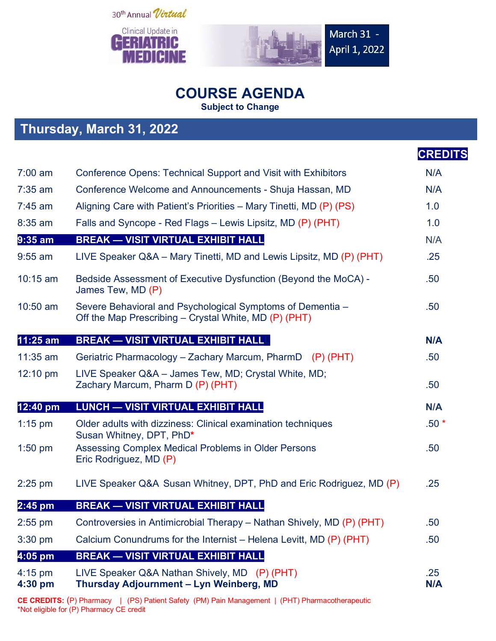



**Thursday, March 31, 2022**



## **COURSE AGENDA**

**Subject to Change**

|                      | $11191399$ , martin $01$ , $2022$                                                                                   |                   |  |
|----------------------|---------------------------------------------------------------------------------------------------------------------|-------------------|--|
|                      |                                                                                                                     | <b>CREDITS</b>    |  |
| $7:00$ am            | <b>Conference Opens: Technical Support and Visit with Exhibitors</b>                                                | N/A               |  |
| $7:35$ am            | Conference Welcome and Announcements - Shuja Hassan, MD                                                             | N/A               |  |
| $7:45$ am            | Aligning Care with Patient's Priorities – Mary Tinetti, MD (P) (PS)                                                 | 1.0               |  |
| 8:35 am              | Falls and Syncope - Red Flags - Lewis Lipsitz, MD (P) (PHT)                                                         | 1.0               |  |
| $9:35$ am            | <b>BREAK - VISIT VIRTUAL EXHIBIT HALL</b>                                                                           | N/A               |  |
| $9:55$ am            | LIVE Speaker Q&A – Mary Tinetti, MD and Lewis Lipsitz, MD (P) (PHT)                                                 | .25               |  |
| $10:15$ am           | Bedside Assessment of Executive Dysfunction (Beyond the MoCA) -<br>James Tew, MD (P)                                | .50               |  |
| 10:50 am             | Severe Behavioral and Psychological Symptoms of Dementia -<br>Off the Map Prescribing - Crystal White, MD (P) (PHT) | .50 <sub>0</sub>  |  |
| 11:25 am             | <b>BREAK - VISIT VIRTUAL EXHIBIT HALL!</b>                                                                          | <b>N/A</b>        |  |
| $11:35$ am           | Geriatric Pharmacology – Zachary Marcum, PharmD (P) (PHT)                                                           | .50               |  |
| 12:10 pm             | LIVE Speaker Q&A - James Tew, MD; Crystal White, MD;<br>Zachary Marcum, Pharm D (P) (PHT)                           | .50               |  |
| 12:40 pm             | <b>LUNCH - VISIT VIRTUAL EXHIBIT HALL</b>                                                                           | <b>N/A</b>        |  |
| $1:15$ pm            | Older adults with dizziness: Clinical examination techniques<br>Susan Whitney, DPT, PhD*                            | $.50*$            |  |
| $1:50$ pm            | Assessing Complex Medical Problems in Older Persons<br>Eric Rodriguez, MD (P)                                       | .50               |  |
| $2:25$ pm            | LIVE Speaker Q&A Susan Whitney, DPT, PhD and Eric Rodriguez, MD (P)                                                 | .25               |  |
| $2:45$ pm            | <b>BREAK - VISIT VIRTUAL EXHIBIT HALL</b>                                                                           |                   |  |
| 2:55 pm              | Controversies in Antimicrobial Therapy – Nathan Shively, MD (P) (PHT)                                               | .50               |  |
| $3:30$ pm            | Calcium Conundrums for the Internist – Helena Levitt, MD (P) (PHT)                                                  | .50 <sub>0</sub>  |  |
| 4:05 pm              | <b>BREAK - VISIT VIRTUAL EXHIBIT HALL</b>                                                                           |                   |  |
| $4:15$ pm<br>4:30 pm | LIVE Speaker Q&A Nathan Shively, MD (P) (PHT)<br>Thursday Adjournment - Lyn Weinberg, MD                            | .25<br><b>N/A</b> |  |
|                      |                                                                                                                     |                   |  |

**CE CREDITS:** (P) Pharmacy | (PS) Patient Safety (PM) Pain Management | (PHT) Pharmacotherapeutic \*Not eligible for (P) Pharmacy CE credit